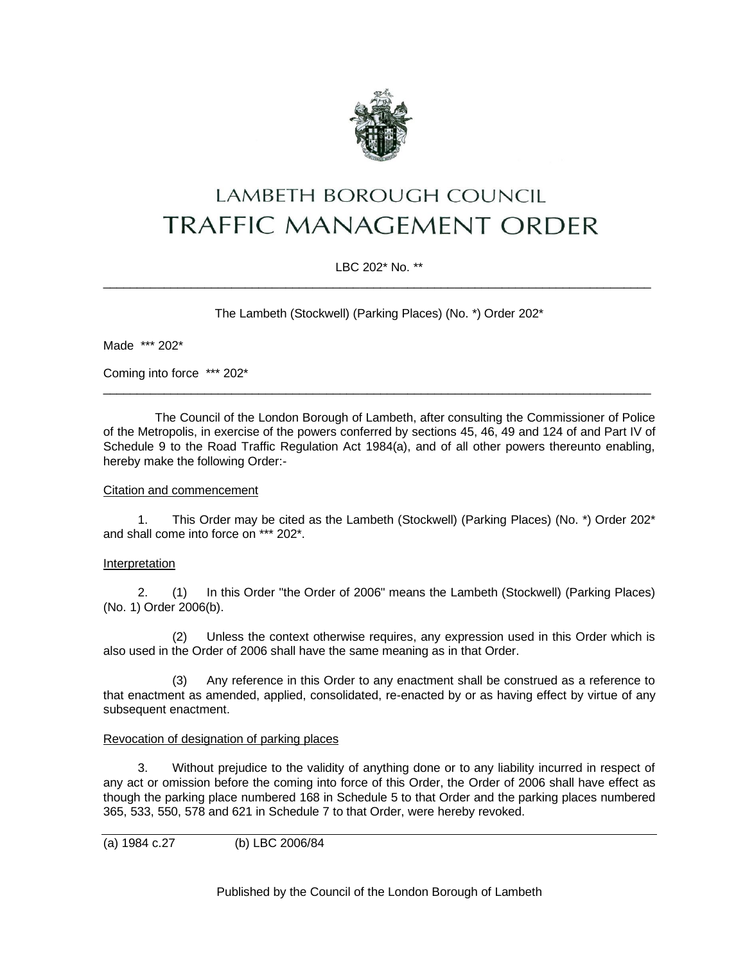

# LAMBETH BOROUGH COUNCIL **TRAFFIC MANAGEMENT ORDER**

# LBC 202\* No. \*\* \_\_\_\_\_\_\_\_\_\_\_\_\_\_\_\_\_\_\_\_\_\_\_\_\_\_\_\_\_\_\_\_\_\_\_\_\_\_\_\_\_\_\_\_\_\_\_\_\_\_\_\_\_\_\_\_\_\_\_\_\_\_\_\_\_\_\_\_\_\_\_\_\_\_\_\_\_\_\_\_\_

The Lambeth (Stockwell) (Parking Places) (No. \*) Order 202\*

Made \*\*\* 202\*

Coming into force \*\*\* 202\*

The Council of the London Borough of Lambeth, after consulting the Commissioner of Police of the Metropolis, in exercise of the powers conferred by sections 45, 46, 49 and 124 of and Part IV of Schedule 9 to the Road Traffic Regulation Act 1984(a), and of all other powers thereunto enabling, hereby make the following Order:-

\_\_\_\_\_\_\_\_\_\_\_\_\_\_\_\_\_\_\_\_\_\_\_\_\_\_\_\_\_\_\_\_\_\_\_\_\_\_\_\_\_\_\_\_\_\_\_\_\_\_\_\_\_\_\_\_\_\_\_\_\_\_\_\_\_\_\_\_\_\_\_\_\_\_\_\_\_\_\_\_\_

#### Citation and commencement

1. This Order may be cited as the Lambeth (Stockwell) (Parking Places) (No. \*) Order 202\* and shall come into force on \*\*\* 202\*.

#### Interpretation

2. (1) In this Order "the Order of 2006" means the Lambeth (Stockwell) (Parking Places) (No. 1) Order 2006(b).

(2) Unless the context otherwise requires, any expression used in this Order which is also used in the Order of 2006 shall have the same meaning as in that Order.

(3) Any reference in this Order to any enactment shall be construed as a reference to that enactment as amended, applied, consolidated, re-enacted by or as having effect by virtue of any subsequent enactment.

#### Revocation of designation of parking places

3. Without prejudice to the validity of anything done or to any liability incurred in respect of any act or omission before the coming into force of this Order, the Order of 2006 shall have effect as though the parking place numbered 168 in Schedule 5 to that Order and the parking places numbered 365, 533, 550, 578 and 621 in Schedule 7 to that Order, were hereby revoked.

(a) 1984 c.27 (b) LBC 2006/84

Published by the Council of the London Borough of Lambeth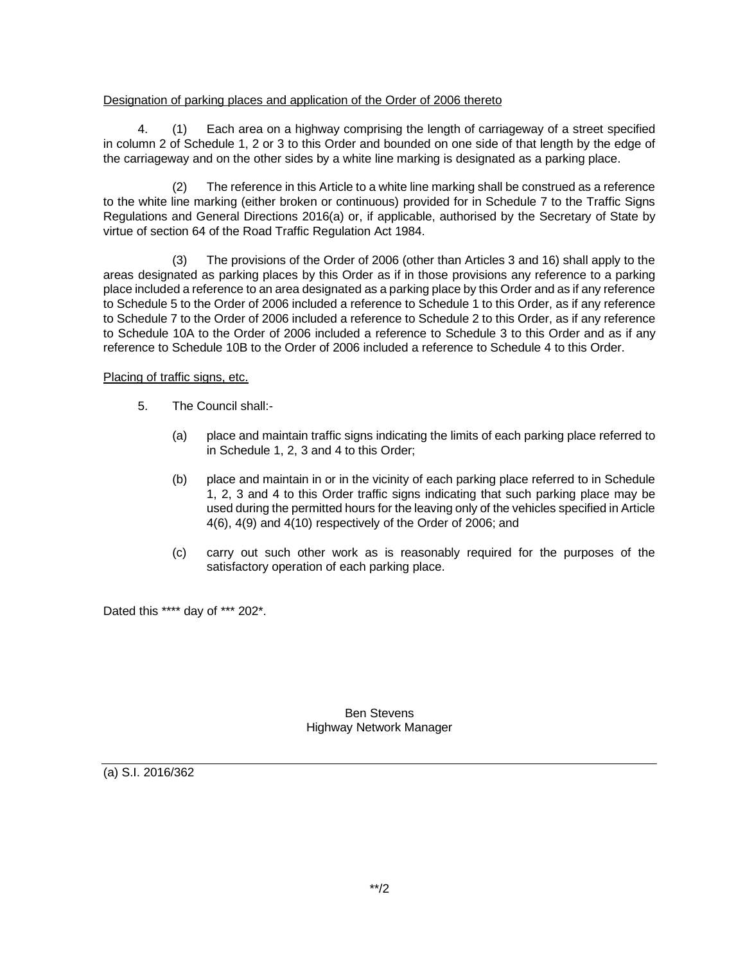## Designation of parking places and application of the Order of 2006 thereto

4. (1) Each area on a highway comprising the length of carriageway of a street specified in column 2 of Schedule 1, 2 or 3 to this Order and bounded on one side of that length by the edge of the carriageway and on the other sides by a white line marking is designated as a parking place.

(2) The reference in this Article to a white line marking shall be construed as a reference to the white line marking (either broken or continuous) provided for in Schedule 7 to the Traffic Signs Regulations and General Directions 2016(a) or, if applicable, authorised by the Secretary of State by virtue of section 64 of the Road Traffic Regulation Act 1984.

(3) The provisions of the Order of 2006 (other than Articles 3 and 16) shall apply to the areas designated as parking places by this Order as if in those provisions any reference to a parking place included a reference to an area designated as a parking place by this Order and as if any reference to Schedule 5 to the Order of 2006 included a reference to Schedule 1 to this Order, as if any reference to Schedule 7 to the Order of 2006 included a reference to Schedule 2 to this Order, as if any reference to Schedule 10A to the Order of 2006 included a reference to Schedule 3 to this Order and as if any reference to Schedule 10B to the Order of 2006 included a reference to Schedule 4 to this Order.

## Placing of traffic signs, etc.

- 5. The Council shall:-
	- (a) place and maintain traffic signs indicating the limits of each parking place referred to in Schedule 1, 2, 3 and 4 to this Order;
	- (b) place and maintain in or in the vicinity of each parking place referred to in Schedule 1, 2, 3 and 4 to this Order traffic signs indicating that such parking place may be used during the permitted hours for the leaving only of the vehicles specified in Article 4(6), 4(9) and 4(10) respectively of the Order of 2006; and
	- (c) carry out such other work as is reasonably required for the purposes of the satisfactory operation of each parking place.

Dated this \*\*\*\* day of \*\*\* 202\*.

Ben Stevens Highway Network Manager

(a) S.I. 2016/362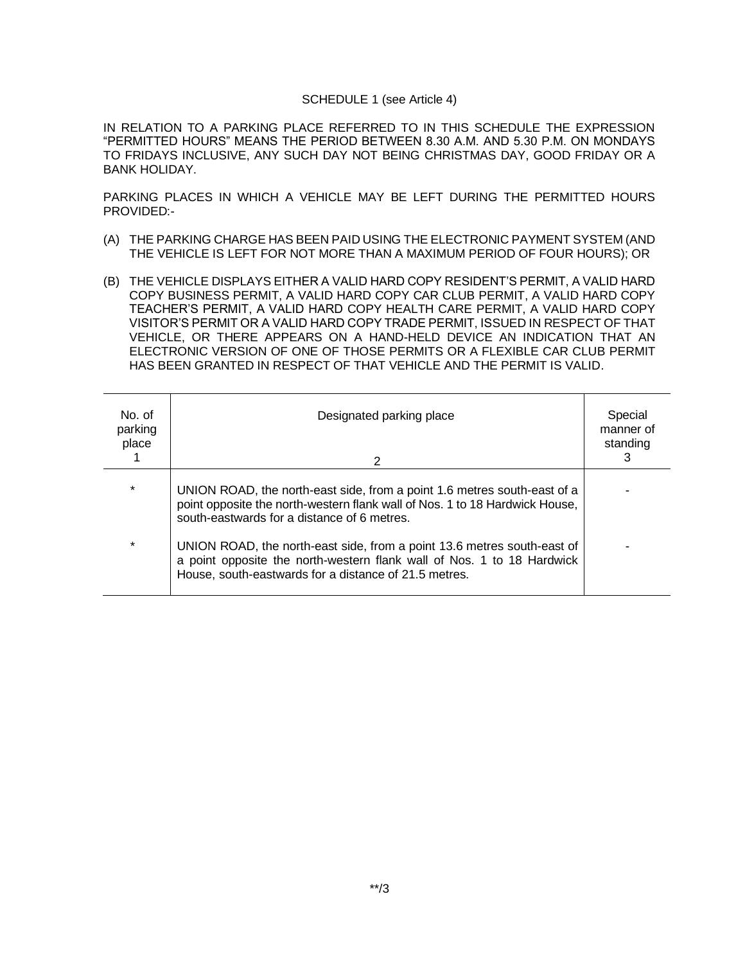### SCHEDULE 1 (see Article 4)

IN RELATION TO A PARKING PLACE REFERRED TO IN THIS SCHEDULE THE EXPRESSION "PERMITTED HOURS" MEANS THE PERIOD BETWEEN 8.30 A.M. AND 5.30 P.M. ON MONDAYS TO FRIDAYS INCLUSIVE, ANY SUCH DAY NOT BEING CHRISTMAS DAY, GOOD FRIDAY OR A BANK HOLIDAY.

PARKING PLACES IN WHICH A VEHICLE MAY BE LEFT DURING THE PERMITTED HOURS PROVIDED:-

- (A) THE PARKING CHARGE HAS BEEN PAID USING THE ELECTRONIC PAYMENT SYSTEM (AND THE VEHICLE IS LEFT FOR NOT MORE THAN A MAXIMUM PERIOD OF FOUR HOURS); OR
- (B) THE VEHICLE DISPLAYS EITHER A VALID HARD COPY RESIDENT'S PERMIT, A VALID HARD COPY BUSINESS PERMIT, A VALID HARD COPY CAR CLUB PERMIT, A VALID HARD COPY TEACHER'S PERMIT, A VALID HARD COPY HEALTH CARE PERMIT, A VALID HARD COPY VISITOR'S PERMIT OR A VALID HARD COPY TRADE PERMIT, ISSUED IN RESPECT OF THAT VEHICLE, OR THERE APPEARS ON A HAND-HELD DEVICE AN INDICATION THAT AN ELECTRONIC VERSION OF ONE OF THOSE PERMITS OR A FLEXIBLE CAR CLUB PERMIT HAS BEEN GRANTED IN RESPECT OF THAT VEHICLE AND THE PERMIT IS VALID.

| No. of<br>parking<br>place | Designated parking place<br>2                                                                                                                                                                              | Special<br>manner of<br>standing |
|----------------------------|------------------------------------------------------------------------------------------------------------------------------------------------------------------------------------------------------------|----------------------------------|
| $\star$                    | UNION ROAD, the north-east side, from a point 1.6 metres south-east of a<br>point opposite the north-western flank wall of Nos. 1 to 18 Hardwick House,<br>south-eastwards for a distance of 6 metres.     |                                  |
| $\star$                    | UNION ROAD, the north-east side, from a point 13.6 metres south-east of<br>a point opposite the north-western flank wall of Nos. 1 to 18 Hardwick<br>House, south-eastwards for a distance of 21.5 metres. |                                  |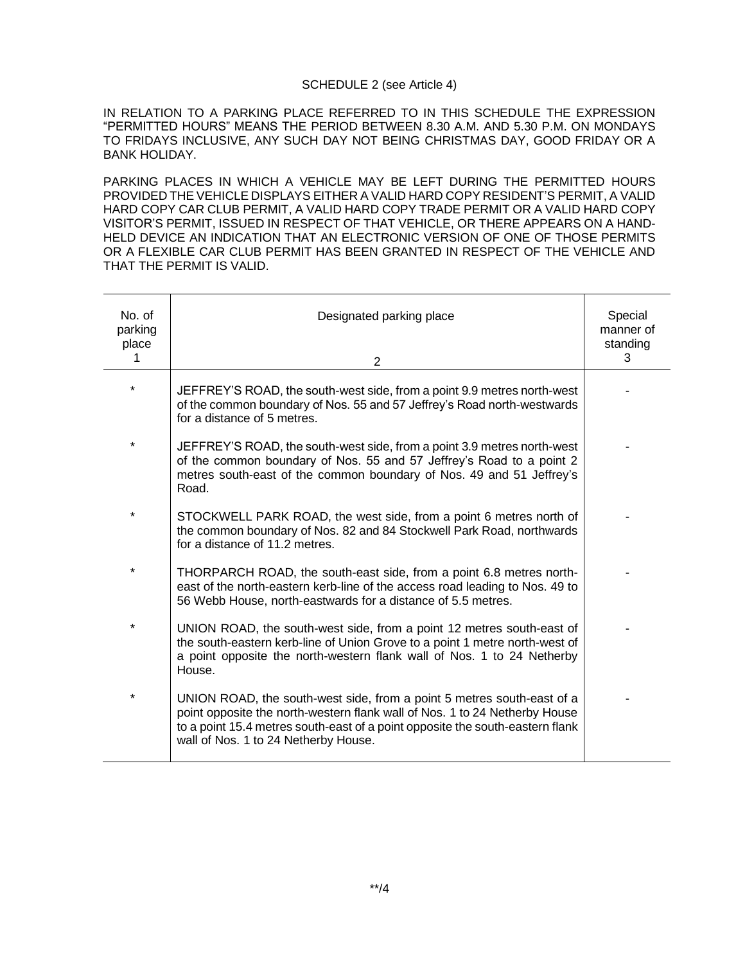### SCHEDULE 2 (see Article 4)

IN RELATION TO A PARKING PLACE REFERRED TO IN THIS SCHEDULE THE EXPRESSION "PERMITTED HOURS" MEANS THE PERIOD BETWEEN 8.30 A.M. AND 5.30 P.M. ON MONDAYS TO FRIDAYS INCLUSIVE, ANY SUCH DAY NOT BEING CHRISTMAS DAY, GOOD FRIDAY OR A BANK HOLIDAY.

PARKING PLACES IN WHICH A VEHICLE MAY BE LEFT DURING THE PERMITTED HOURS PROVIDED THE VEHICLE DISPLAYS EITHER A VALID HARD COPY RESIDENT'S PERMIT, A VALID HARD COPY CAR CLUB PERMIT, A VALID HARD COPY TRADE PERMIT OR A VALID HARD COPY VISITOR'S PERMIT, ISSUED IN RESPECT OF THAT VEHICLE, OR THERE APPEARS ON A HAND-HELD DEVICE AN INDICATION THAT AN ELECTRONIC VERSION OF ONE OF THOSE PERMITS OR A FLEXIBLE CAR CLUB PERMIT HAS BEEN GRANTED IN RESPECT OF THE VEHICLE AND THAT THE PERMIT IS VALID.

| No. of<br>parking<br>place<br>1 | Designated parking place<br>2                                                                                                                                                                                                                                                 | Special<br>manner of<br>standing<br>3 |
|---------------------------------|-------------------------------------------------------------------------------------------------------------------------------------------------------------------------------------------------------------------------------------------------------------------------------|---------------------------------------|
| $\star$                         | JEFFREY'S ROAD, the south-west side, from a point 9.9 metres north-west<br>of the common boundary of Nos. 55 and 57 Jeffrey's Road north-westwards<br>for a distance of 5 metres.                                                                                             |                                       |
| $\star$                         | JEFFREY'S ROAD, the south-west side, from a point 3.9 metres north-west<br>of the common boundary of Nos. 55 and 57 Jeffrey's Road to a point 2<br>metres south-east of the common boundary of Nos. 49 and 51 Jeffrey's<br>Road.                                              |                                       |
| $\star$                         | STOCKWELL PARK ROAD, the west side, from a point 6 metres north of<br>the common boundary of Nos. 82 and 84 Stockwell Park Road, northwards<br>for a distance of 11.2 metres.                                                                                                 |                                       |
| ¥                               | THORPARCH ROAD, the south-east side, from a point 6.8 metres north-<br>east of the north-eastern kerb-line of the access road leading to Nos. 49 to<br>56 Webb House, north-eastwards for a distance of 5.5 metres.                                                           |                                       |
| $\star$                         | UNION ROAD, the south-west side, from a point 12 metres south-east of<br>the south-eastern kerb-line of Union Grove to a point 1 metre north-west of<br>a point opposite the north-western flank wall of Nos. 1 to 24 Netherby<br>House.                                      |                                       |
| $\star$                         | UNION ROAD, the south-west side, from a point 5 metres south-east of a<br>point opposite the north-western flank wall of Nos. 1 to 24 Netherby House<br>to a point 15.4 metres south-east of a point opposite the south-eastern flank<br>wall of Nos. 1 to 24 Netherby House. |                                       |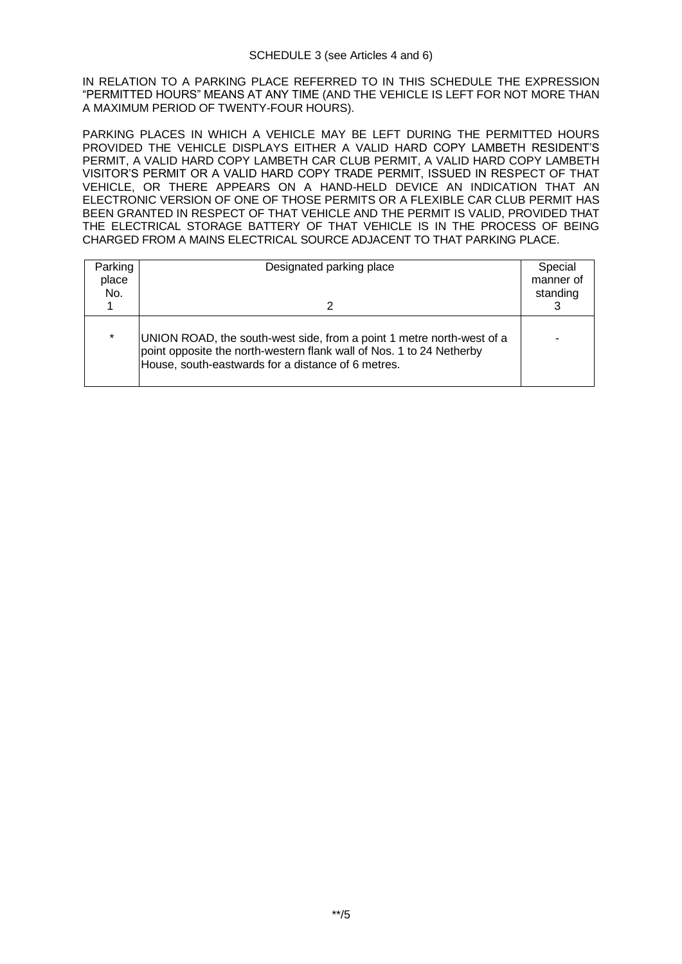IN RELATION TO A PARKING PLACE REFERRED TO IN THIS SCHEDULE THE EXPRESSION "PERMITTED HOURS" MEANS AT ANY TIME (AND THE VEHICLE IS LEFT FOR NOT MORE THAN A MAXIMUM PERIOD OF TWENTY-FOUR HOURS).

PARKING PLACES IN WHICH A VEHICLE MAY BE LEFT DURING THE PERMITTED HOURS PROVIDED THE VEHICLE DISPLAYS EITHER A VALID HARD COPY LAMBETH RESIDENT'S PERMIT, A VALID HARD COPY LAMBETH CAR CLUB PERMIT, A VALID HARD COPY LAMBETH VISITOR'S PERMIT OR A VALID HARD COPY TRADE PERMIT, ISSUED IN RESPECT OF THAT VEHICLE, OR THERE APPEARS ON A HAND-HELD DEVICE AN INDICATION THAT AN ELECTRONIC VERSION OF ONE OF THOSE PERMITS OR A FLEXIBLE CAR CLUB PERMIT HAS BEEN GRANTED IN RESPECT OF THAT VEHICLE AND THE PERMIT IS VALID, PROVIDED THAT THE ELECTRICAL STORAGE BATTERY OF THAT VEHICLE IS IN THE PROCESS OF BEING CHARGED FROM A MAINS ELECTRICAL SOURCE ADJACENT TO THAT PARKING PLACE.

| Parking<br>place<br>No. | Designated parking place                                                                                                                                                                            | Special<br>manner of<br>standing |
|-------------------------|-----------------------------------------------------------------------------------------------------------------------------------------------------------------------------------------------------|----------------------------------|
| $\star$                 | UNION ROAD, the south-west side, from a point 1 metre north-west of a<br>point opposite the north-western flank wall of Nos. 1 to 24 Netherby<br>House, south-eastwards for a distance of 6 metres. |                                  |